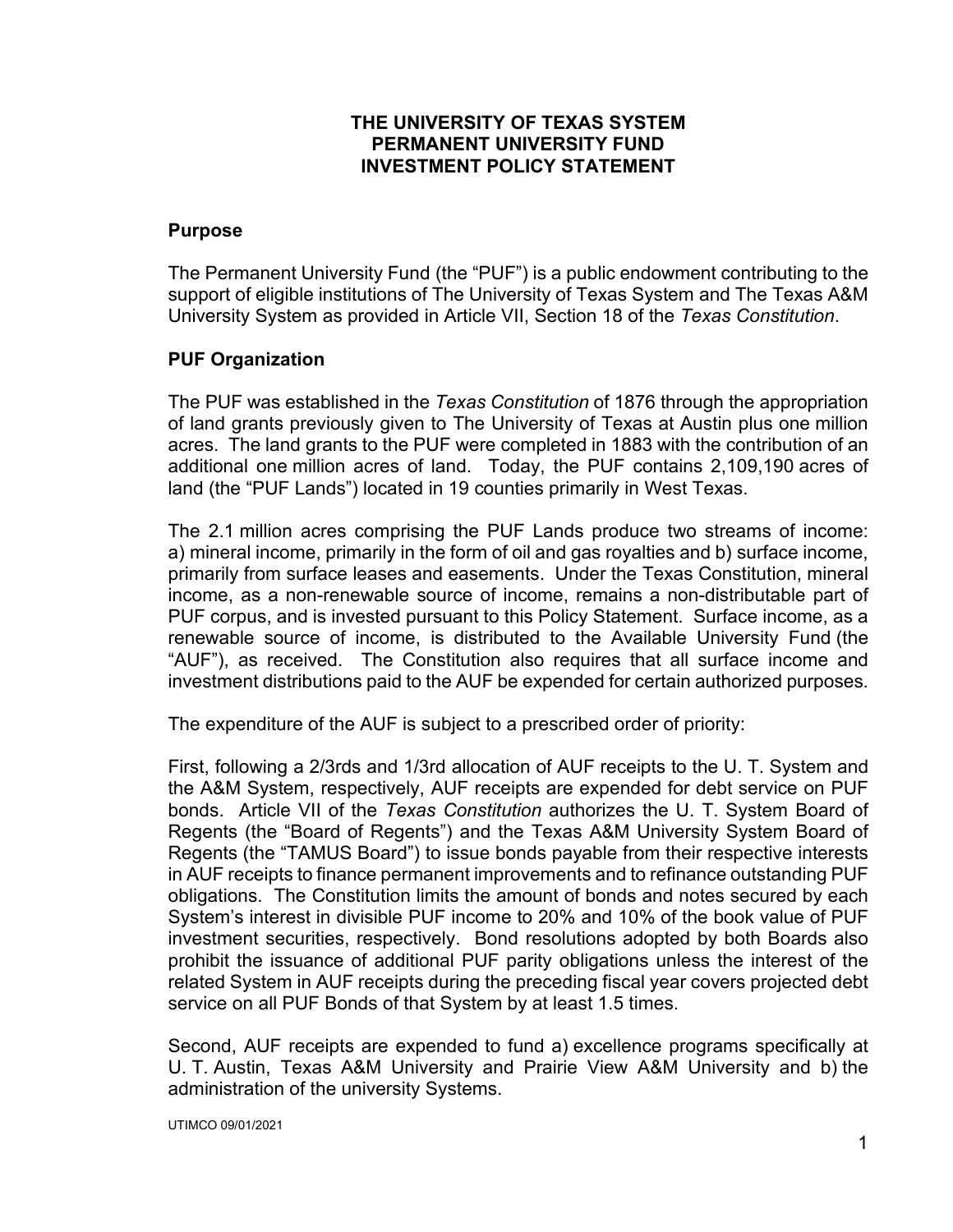#### **THE UNIVERSITY OF TEXAS SYSTEM PERMANENT UNIVERSITY FUND INVESTMENT POLICY STATEMENT**

#### **Purpose**

The Permanent University Fund (the "PUF") is a public endowment contributing to the support of eligible institutions of The University of Texas System and The Texas A&M University System as provided in Article VII, Section 18 of the *Texas Constitution*.

## **PUF Organization**

The PUF was established in the *Texas Constitution* of 1876 through the appropriation of land grants previously given to The University of Texas at Austin plus one million acres. The land grants to the PUF were completed in 1883 with the contribution of an additional one million acres of land. Today, the PUF contains 2,109,190 acres of land (the "PUF Lands") located in 19 counties primarily in West Texas.

The 2.1 million acres comprising the PUF Lands produce two streams of income: a) mineral income, primarily in the form of oil and gas royalties and b) surface income, primarily from surface leases and easements. Under the Texas Constitution, mineral income, as a non-renewable source of income, remains a non-distributable part of PUF corpus, and is invested pursuant to this Policy Statement. Surface income, as a renewable source of income, is distributed to the Available University Fund (the "AUF"), as received. The Constitution also requires that all surface income and investment distributions paid to the AUF be expended for certain authorized purposes.

The expenditure of the AUF is subject to a prescribed order of priority:

First, following a 2/3rds and 1/3rd allocation of AUF receipts to the U. T. System and the A&M System, respectively, AUF receipts are expended for debt service on PUF bonds. Article VII of the *Texas Constitution* authorizes the U. T. System Board of Regents (the "Board of Regents") and the Texas A&M University System Board of Regents (the "TAMUS Board") to issue bonds payable from their respective interests in AUF receipts to finance permanent improvements and to refinance outstanding PUF obligations. The Constitution limits the amount of bonds and notes secured by each System's interest in divisible PUF income to 20% and 10% of the book value of PUF investment securities, respectively. Bond resolutions adopted by both Boards also prohibit the issuance of additional PUF parity obligations unless the interest of the related System in AUF receipts during the preceding fiscal year covers projected debt service on all PUF Bonds of that System by at least 1.5 times.

Second, AUF receipts are expended to fund a) excellence programs specifically at U. T. Austin, Texas A&M University and Prairie View A&M University and b) the administration of the university Systems.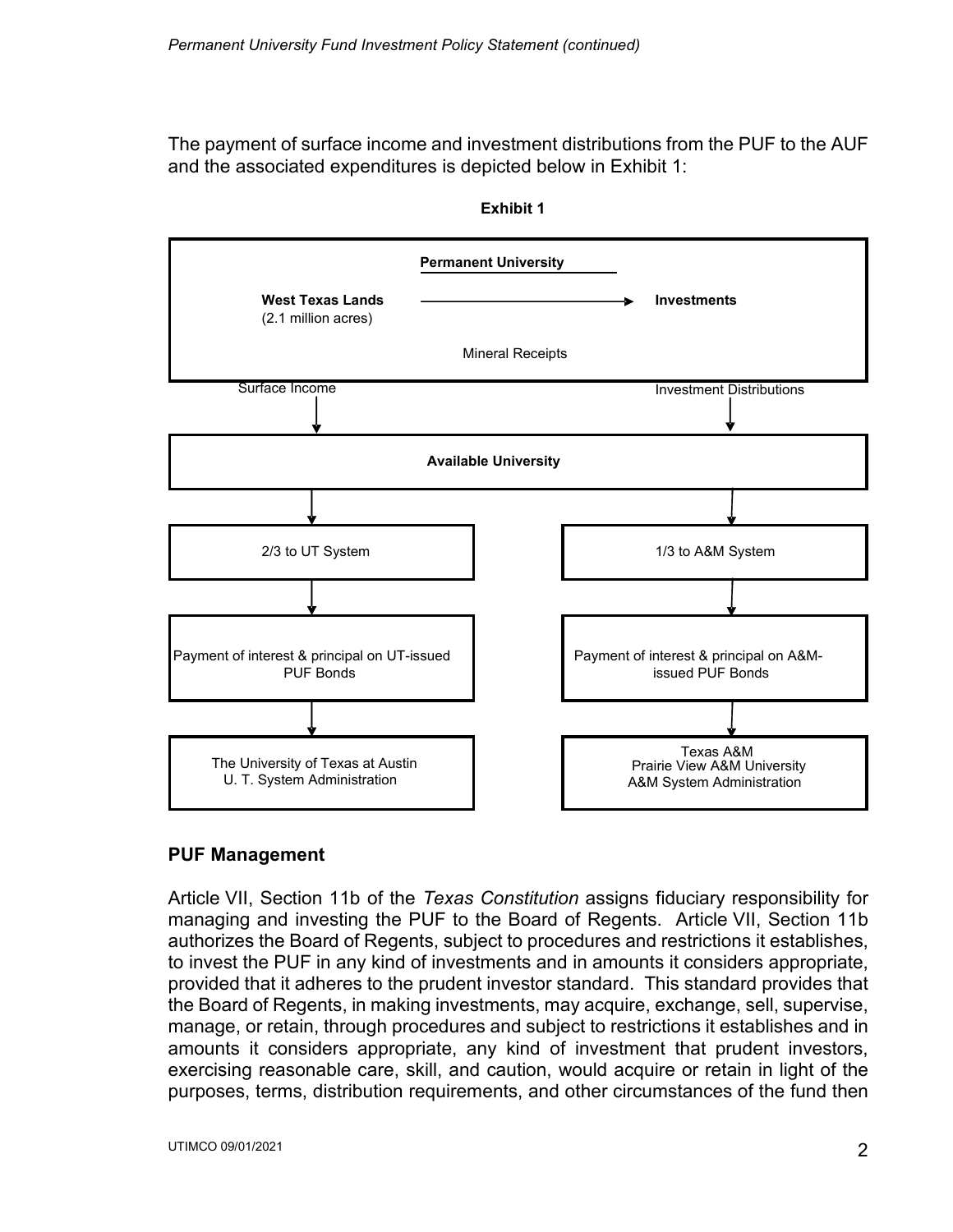The payment of surface income and investment distributions from the PUF to the AUF and the associated expenditures is depicted below in Exhibit 1:



**Exhibit 1**

#### **PUF Management**

Article VII, Section 11b of the *Texas Constitution* assigns fiduciary responsibility for managing and investing the PUF to the Board of Regents. Article VII, Section 11b authorizes the Board of Regents, subject to procedures and restrictions it establishes, to invest the PUF in any kind of investments and in amounts it considers appropriate, provided that it adheres to the prudent investor standard. This standard provides that the Board of Regents, in making investments, may acquire, exchange, sell, supervise, manage, or retain, through procedures and subject to restrictions it establishes and in amounts it considers appropriate, any kind of investment that prudent investors, exercising reasonable care, skill, and caution, would acquire or retain in light of the purposes, terms, distribution requirements, and other circumstances of the fund then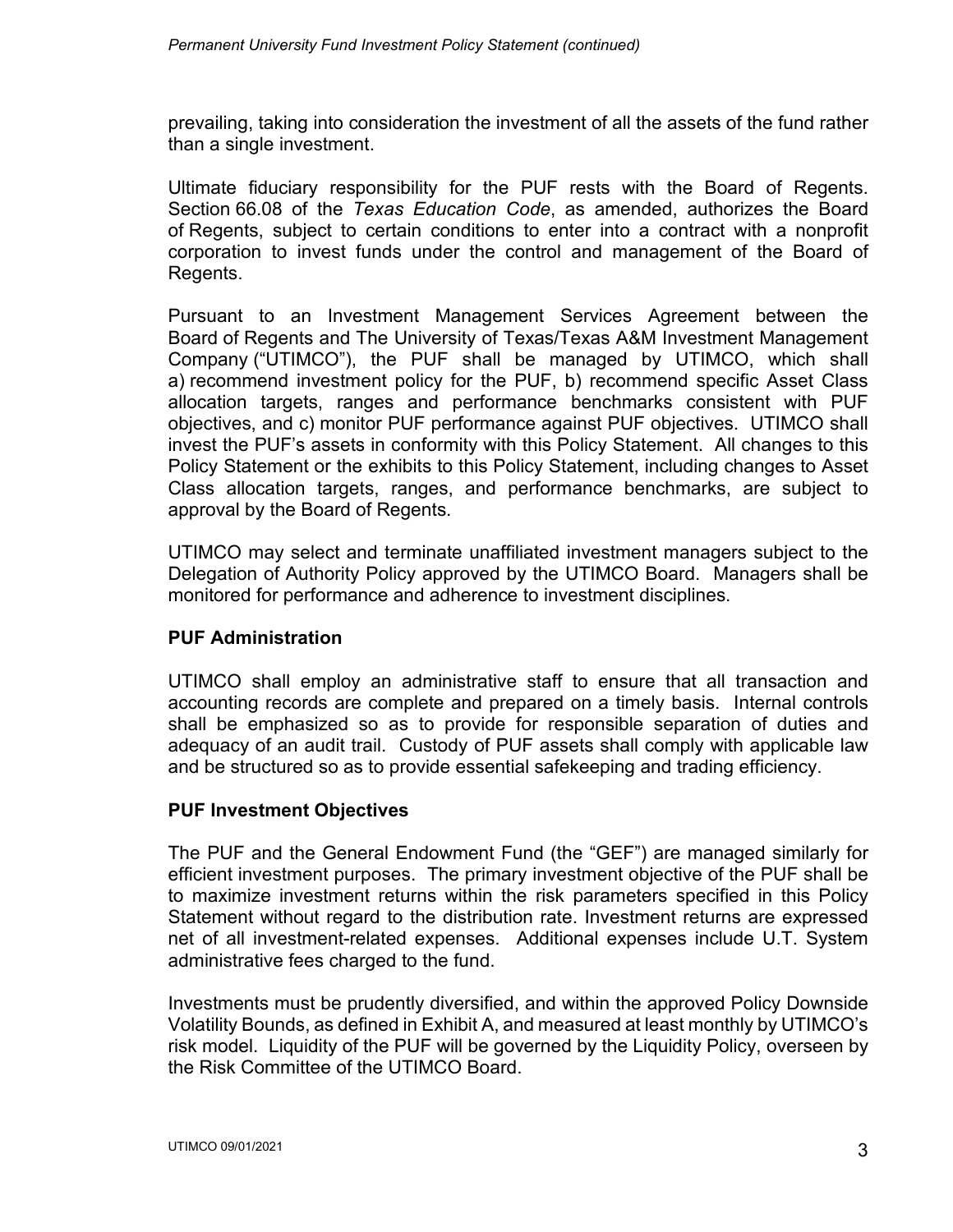prevailing, taking into consideration the investment of all the assets of the fund rather than a single investment.

Ultimate fiduciary responsibility for the PUF rests with the Board of Regents. Section 66.08 of the *Texas Education Code*, as amended, authorizes the Board of Regents, subject to certain conditions to enter into a contract with a nonprofit corporation to invest funds under the control and management of the Board of Regents.

Pursuant to an Investment Management Services Agreement between the Board of Regents and The University of Texas/Texas A&M Investment Management Company ("UTIMCO"), the PUF shall be managed by UTIMCO, which shall a) recommend investment policy for the PUF, b) recommend specific Asset Class allocation targets, ranges and performance benchmarks consistent with PUF objectives, and c) monitor PUF performance against PUF objectives. UTIMCO shall invest the PUF's assets in conformity with this Policy Statement. All changes to this Policy Statement or the exhibits to this Policy Statement, including changes to Asset Class allocation targets, ranges, and performance benchmarks, are subject to approval by the Board of Regents.

UTIMCO may select and terminate unaffiliated investment managers subject to the Delegation of Authority Policy approved by the UTIMCO Board. Managers shall be monitored for performance and adherence to investment disciplines.

#### **PUF Administration**

UTIMCO shall employ an administrative staff to ensure that all transaction and accounting records are complete and prepared on a timely basis. Internal controls shall be emphasized so as to provide for responsible separation of duties and adequacy of an audit trail. Custody of PUF assets shall comply with applicable law and be structured so as to provide essential safekeeping and trading efficiency.

#### **PUF Investment Objectives**

The PUF and the General Endowment Fund (the "GEF") are managed similarly for efficient investment purposes. The primary investment objective of the PUF shall be to maximize investment returns within the risk parameters specified in this Policy Statement without regard to the distribution rate. Investment returns are expressed net of all investment-related expenses. Additional expenses include U.T. System administrative fees charged to the fund.

Investments must be prudently diversified, and within the approved Policy Downside Volatility Bounds, as defined in Exhibit A, and measured at least monthly by UTIMCO's risk model. Liquidity of the PUF will be governed by the Liquidity Policy, overseen by the Risk Committee of the UTIMCO Board.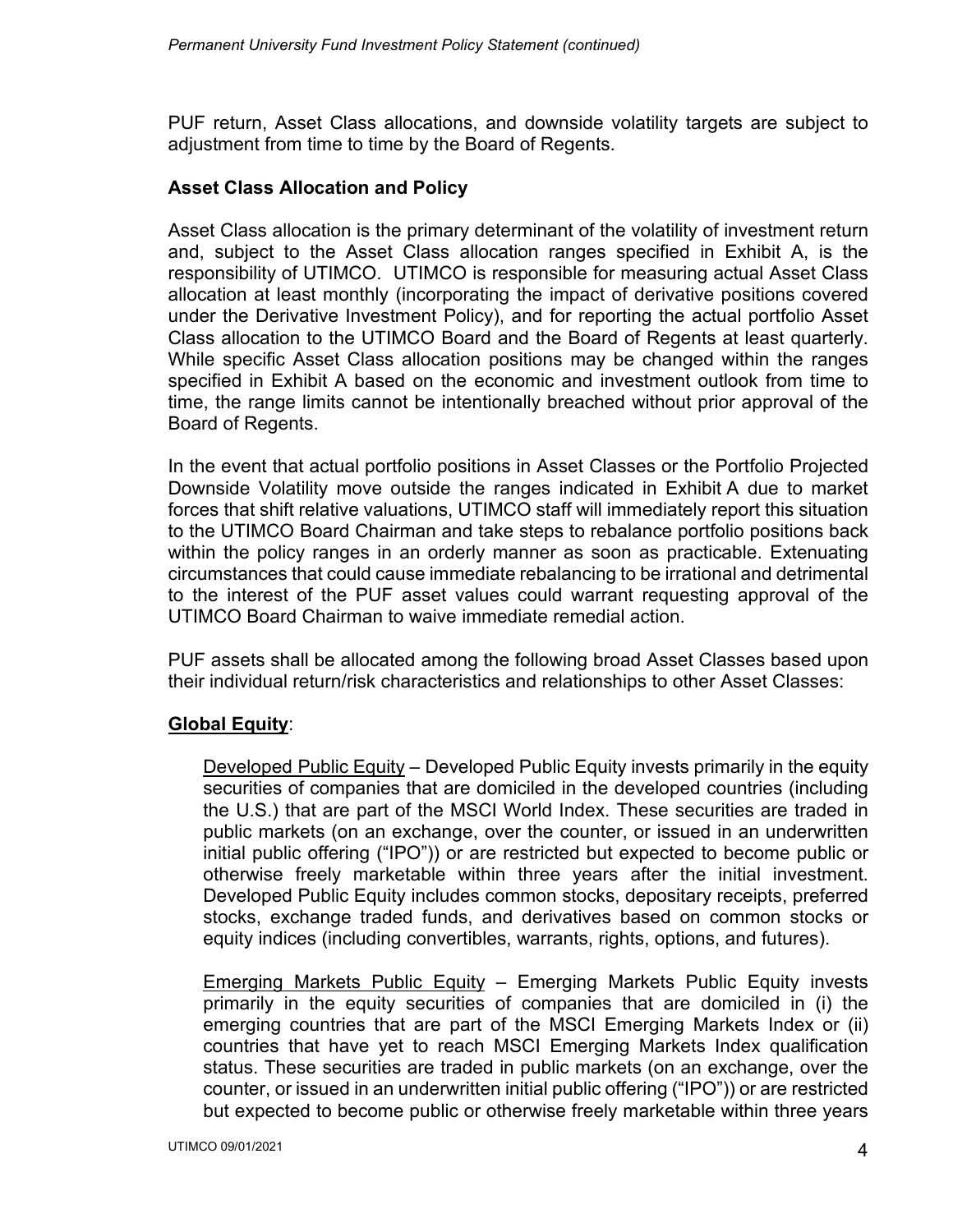PUF return, Asset Class allocations, and downside volatility targets are subject to adjustment from time to time by the Board of Regents.

#### **Asset Class Allocation and Policy**

Asset Class allocation is the primary determinant of the volatility of investment return and, subject to the Asset Class allocation ranges specified in Exhibit A, is the responsibility of UTIMCO. UTIMCO is responsible for measuring actual Asset Class allocation at least monthly (incorporating the impact of derivative positions covered under the Derivative Investment Policy), and for reporting the actual portfolio Asset Class allocation to the UTIMCO Board and the Board of Regents at least quarterly. While specific Asset Class allocation positions may be changed within the ranges specified in Exhibit A based on the economic and investment outlook from time to time, the range limits cannot be intentionally breached without prior approval of the Board of Regents.

In the event that actual portfolio positions in Asset Classes or the Portfolio Projected Downside Volatility move outside the ranges indicated in Exhibit A due to market forces that shift relative valuations, UTIMCO staff will immediately report this situation to the UTIMCO Board Chairman and take steps to rebalance portfolio positions back within the policy ranges in an orderly manner as soon as practicable. Extenuating circumstances that could cause immediate rebalancing to be irrational and detrimental to the interest of the PUF asset values could warrant requesting approval of the UTIMCO Board Chairman to waive immediate remedial action.

PUF assets shall be allocated among the following broad Asset Classes based upon their individual return/risk characteristics and relationships to other Asset Classes:

## **Global Equity**:

Developed Public Equity – Developed Public Equity invests primarily in the equity securities of companies that are domiciled in the developed countries (including the U.S.) that are part of the MSCI World Index. These securities are traded in public markets (on an exchange, over the counter, or issued in an underwritten initial public offering ("IPO")) or are restricted but expected to become public or otherwise freely marketable within three years after the initial investment. Developed Public Equity includes common stocks, depositary receipts, preferred stocks, exchange traded funds, and derivatives based on common stocks or equity indices (including convertibles, warrants, rights, options, and futures).

Emerging Markets Public Equity – Emerging Markets Public Equity invests primarily in the equity securities of companies that are domiciled in (i) the emerging countries that are part of the MSCI Emerging Markets Index or (ii) countries that have yet to reach MSCI Emerging Markets Index qualification status. These securities are traded in public markets (on an exchange, over the counter, or issued in an underwritten initial public offering ("IPO")) or are restricted but expected to become public or otherwise freely marketable within three years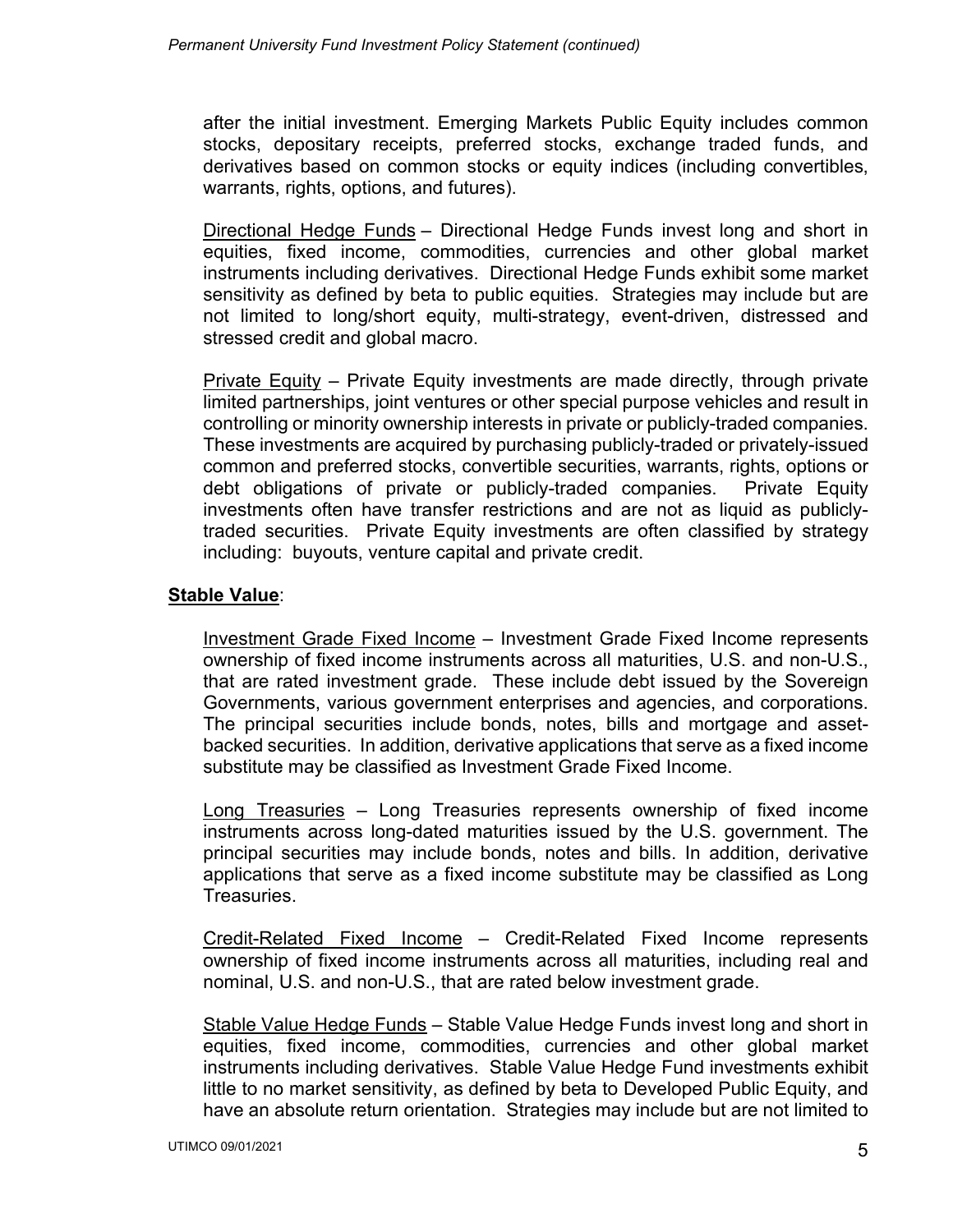after the initial investment. Emerging Markets Public Equity includes common stocks, depositary receipts, preferred stocks, exchange traded funds, and derivatives based on common stocks or equity indices (including convertibles, warrants, rights, options, and futures).

Directional Hedge Funds - Directional Hedge Funds invest long and short in equities, fixed income, commodities, currencies and other global market instruments including derivatives. Directional Hedge Funds exhibit some market sensitivity as defined by beta to public equities. Strategies may include but are not limited to long/short equity, multi-strategy, event-driven, distressed and stressed credit and global macro.

Private Equity – Private Equity investments are made directly, through private limited partnerships, joint ventures or other special purpose vehicles and result in controlling or minority ownership interests in private or publicly-traded companies. These investments are acquired by purchasing publicly-traded or privately-issued common and preferred stocks, convertible securities, warrants, rights, options or debt obligations of private or publicly-traded companies. Private Equity investments often have transfer restrictions and are not as liquid as publiclytraded securities. Private Equity investments are often classified by strategy including: buyouts, venture capital and private credit.

## **Stable Value**:

Investment Grade Fixed Income – Investment Grade Fixed Income represents ownership of fixed income instruments across all maturities, U.S. and non-U.S., that are rated investment grade. These include debt issued by the Sovereign Governments, various government enterprises and agencies, and corporations. The principal securities include bonds, notes, bills and mortgage and assetbacked securities. In addition, derivative applications that serve as a fixed income substitute may be classified as Investment Grade Fixed Income.

Long Treasuries – Long Treasuries represents ownership of fixed income instruments across long-dated maturities issued by the U.S. government. The principal securities may include bonds, notes and bills. In addition, derivative applications that serve as a fixed income substitute may be classified as Long Treasuries.

Credit-Related Fixed Income – Credit-Related Fixed Income represents ownership of fixed income instruments across all maturities, including real and nominal, U.S. and non-U.S., that are rated below investment grade.

Stable Value Hedge Funds - Stable Value Hedge Funds invest long and short in equities, fixed income, commodities, currencies and other global market instruments including derivatives. Stable Value Hedge Fund investments exhibit little to no market sensitivity, as defined by beta to Developed Public Equity, and have an absolute return orientation. Strategies may include but are not limited to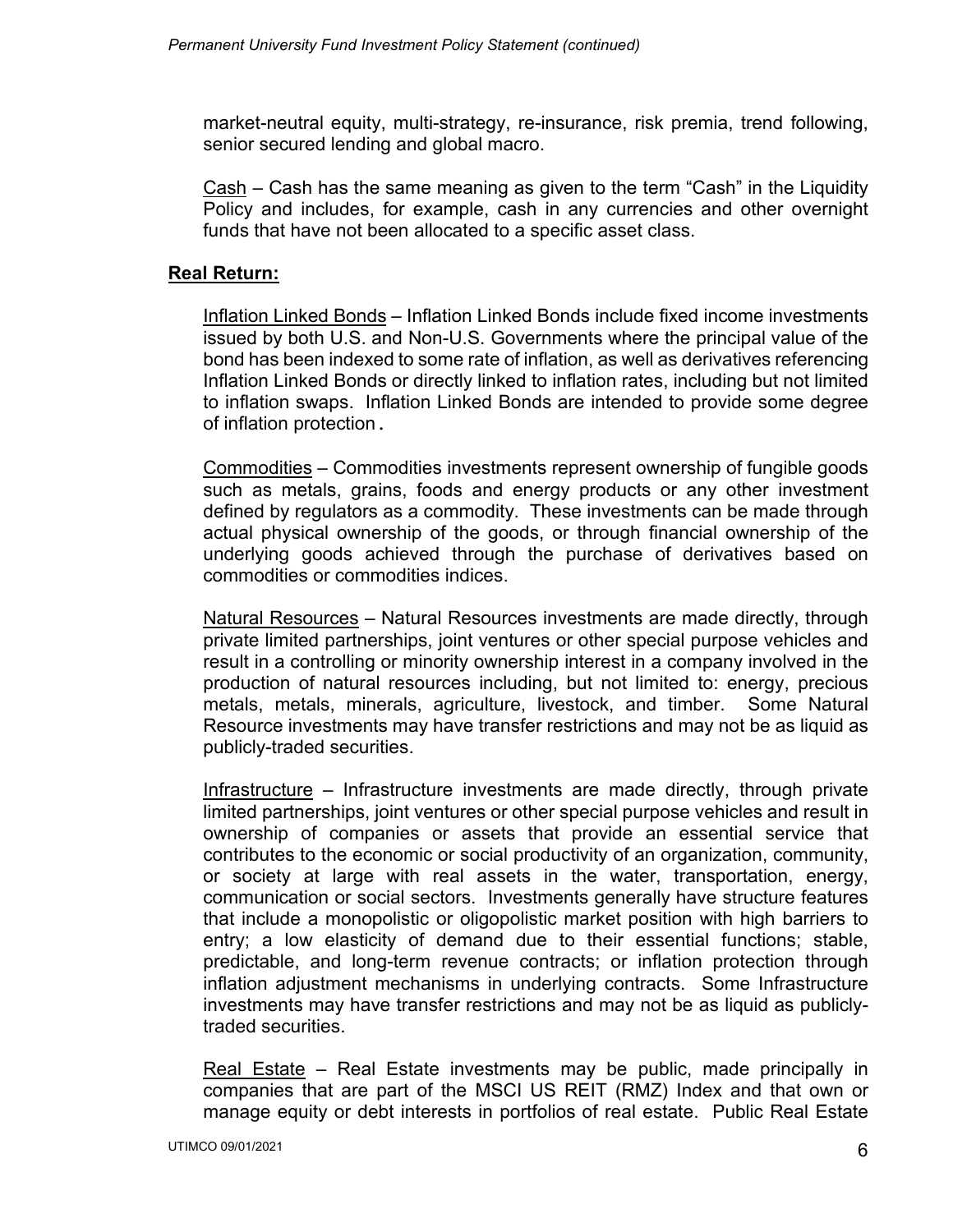market-neutral equity, multi-strategy, re-insurance, risk premia, trend following, senior secured lending and global macro.

Cash – Cash has the same meaning as given to the term "Cash" in the Liquidity Policy and includes, for example, cash in any currencies and other overnight funds that have not been allocated to a specific asset class.

## **Real Return:**

Inflation Linked Bonds – Inflation Linked Bonds include fixed income investments issued by both U.S. and Non-U.S. Governments where the principal value of the bond has been indexed to some rate of inflation, as well as derivatives referencing Inflation Linked Bonds or directly linked to inflation rates, including but not limited to inflation swaps. Inflation Linked Bonds are intended to provide some degree of inflation protection.

Commodities – Commodities investments represent ownership of fungible goods such as metals, grains, foods and energy products or any other investment defined by regulators as a commodity. These investments can be made through actual physical ownership of the goods, or through financial ownership of the underlying goods achieved through the purchase of derivatives based on commodities or commodities indices.

Natural Resources – Natural Resources investments are made directly, through private limited partnerships, joint ventures or other special purpose vehicles and result in a controlling or minority ownership interest in a company involved in the production of natural resources including, but not limited to: energy, precious metals, metals, minerals, agriculture, livestock, and timber. Some Natural Resource investments may have transfer restrictions and may not be as liquid as publicly-traded securities.

Infrastructure – Infrastructure investments are made directly, through private limited partnerships, joint ventures or other special purpose vehicles and result in ownership of companies or assets that provide an essential service that contributes to the economic or social productivity of an organization, community, or society at large with real assets in the water, transportation, energy, communication or social sectors. Investments generally have structure features that include a monopolistic or oligopolistic market position with high barriers to entry; a low elasticity of demand due to their essential functions; stable, predictable, and long-term revenue contracts; or inflation protection through inflation adjustment mechanisms in underlying contracts. Some Infrastructure investments may have transfer restrictions and may not be as liquid as publiclytraded securities.

Real Estate – Real Estate investments may be public, made principally in companies that are part of the MSCI US REIT (RMZ) Index and that own or manage equity or debt interests in portfolios of real estate. Public Real Estate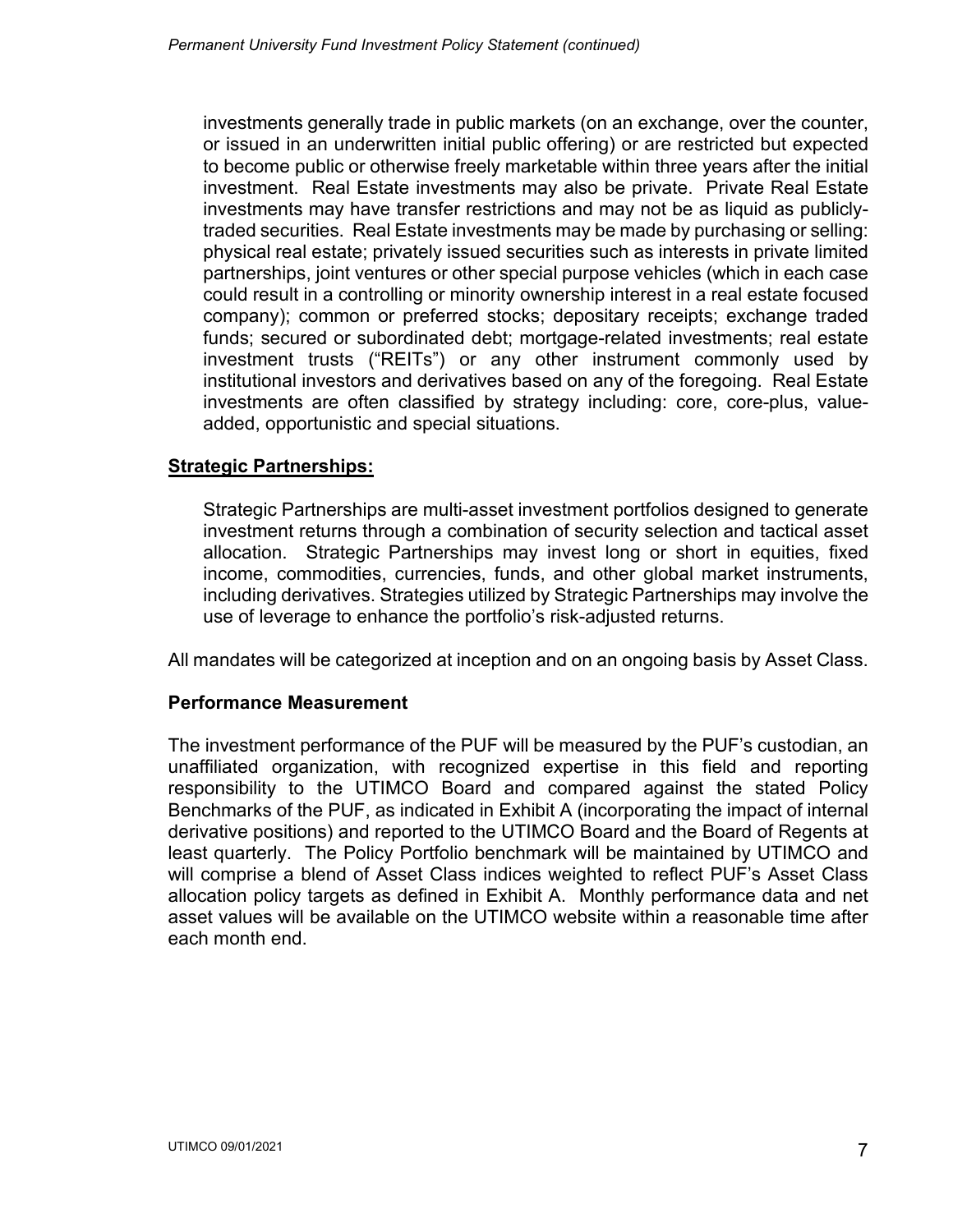investments generally trade in public markets (on an exchange, over the counter, or issued in an underwritten initial public offering) or are restricted but expected to become public or otherwise freely marketable within three years after the initial investment. Real Estate investments may also be private. Private Real Estate investments may have transfer restrictions and may not be as liquid as publiclytraded securities. Real Estate investments may be made by purchasing or selling: physical real estate; privately issued securities such as interests in private limited partnerships, joint ventures or other special purpose vehicles (which in each case could result in a controlling or minority ownership interest in a real estate focused company); common or preferred stocks; depositary receipts; exchange traded funds; secured or subordinated debt; mortgage-related investments; real estate investment trusts ("REITs") or any other instrument commonly used by institutional investors and derivatives based on any of the foregoing. Real Estate investments are often classified by strategy including: core, core-plus, valueadded, opportunistic and special situations.

## **Strategic Partnerships:**

Strategic Partnerships are multi-asset investment portfolios designed to generate investment returns through a combination of security selection and tactical asset allocation. Strategic Partnerships may invest long or short in equities, fixed income, commodities, currencies, funds, and other global market instruments, including derivatives. Strategies utilized by Strategic Partnerships may involve the use of leverage to enhance the portfolio's risk-adjusted returns.

All mandates will be categorized at inception and on an ongoing basis by Asset Class.

#### **Performance Measurement**

The investment performance of the PUF will be measured by the PUF's custodian, an unaffiliated organization, with recognized expertise in this field and reporting responsibility to the UTIMCO Board and compared against the stated Policy Benchmarks of the PUF, as indicated in Exhibit A (incorporating the impact of internal derivative positions) and reported to the UTIMCO Board and the Board of Regents at least quarterly. The Policy Portfolio benchmark will be maintained by UTIMCO and will comprise a blend of Asset Class indices weighted to reflect PUF's Asset Class allocation policy targets as defined in Exhibit A. Monthly performance data and net asset values will be available on the UTIMCO website within a reasonable time after each month end.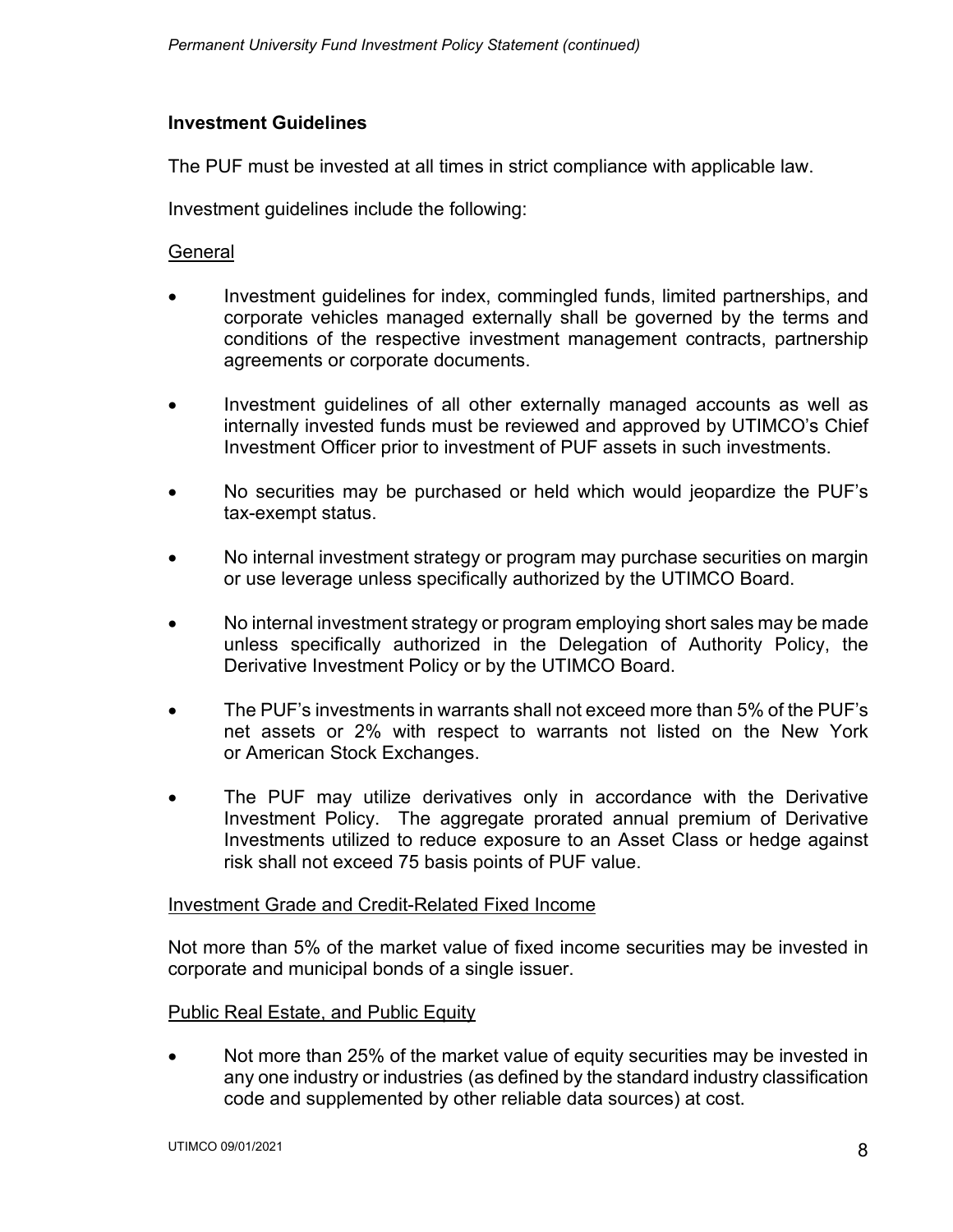## **Investment Guidelines**

The PUF must be invested at all times in strict compliance with applicable law.

Investment guidelines include the following:

#### **General**

- Investment guidelines for index, commingled funds, limited partnerships, and corporate vehicles managed externally shall be governed by the terms and conditions of the respective investment management contracts, partnership agreements or corporate documents.
- Investment guidelines of all other externally managed accounts as well as internally invested funds must be reviewed and approved by UTIMCO's Chief Investment Officer prior to investment of PUF assets in such investments.
- No securities may be purchased or held which would jeopardize the PUF's tax-exempt status.
- No internal investment strategy or program may purchase securities on margin or use leverage unless specifically authorized by the UTIMCO Board.
- No internal investment strategy or program employing short sales may be made unless specifically authorized in the Delegation of Authority Policy, the Derivative Investment Policy or by the UTIMCO Board.
- The PUF's investments in warrants shall not exceed more than 5% of the PUF's net assets or 2% with respect to warrants not listed on the New York or American Stock Exchanges.
- The PUF may utilize derivatives only in accordance with the Derivative Investment Policy. The aggregate prorated annual premium of Derivative Investments utilized to reduce exposure to an Asset Class or hedge against risk shall not exceed 75 basis points of PUF value.

#### Investment Grade and Credit-Related Fixed Income

Not more than 5% of the market value of fixed income securities may be invested in corporate and municipal bonds of a single issuer.

#### Public Real Estate, and Public Equity

• Not more than 25% of the market value of equity securities may be invested in any one industry or industries (as defined by the standard industry classification code and supplemented by other reliable data sources) at cost.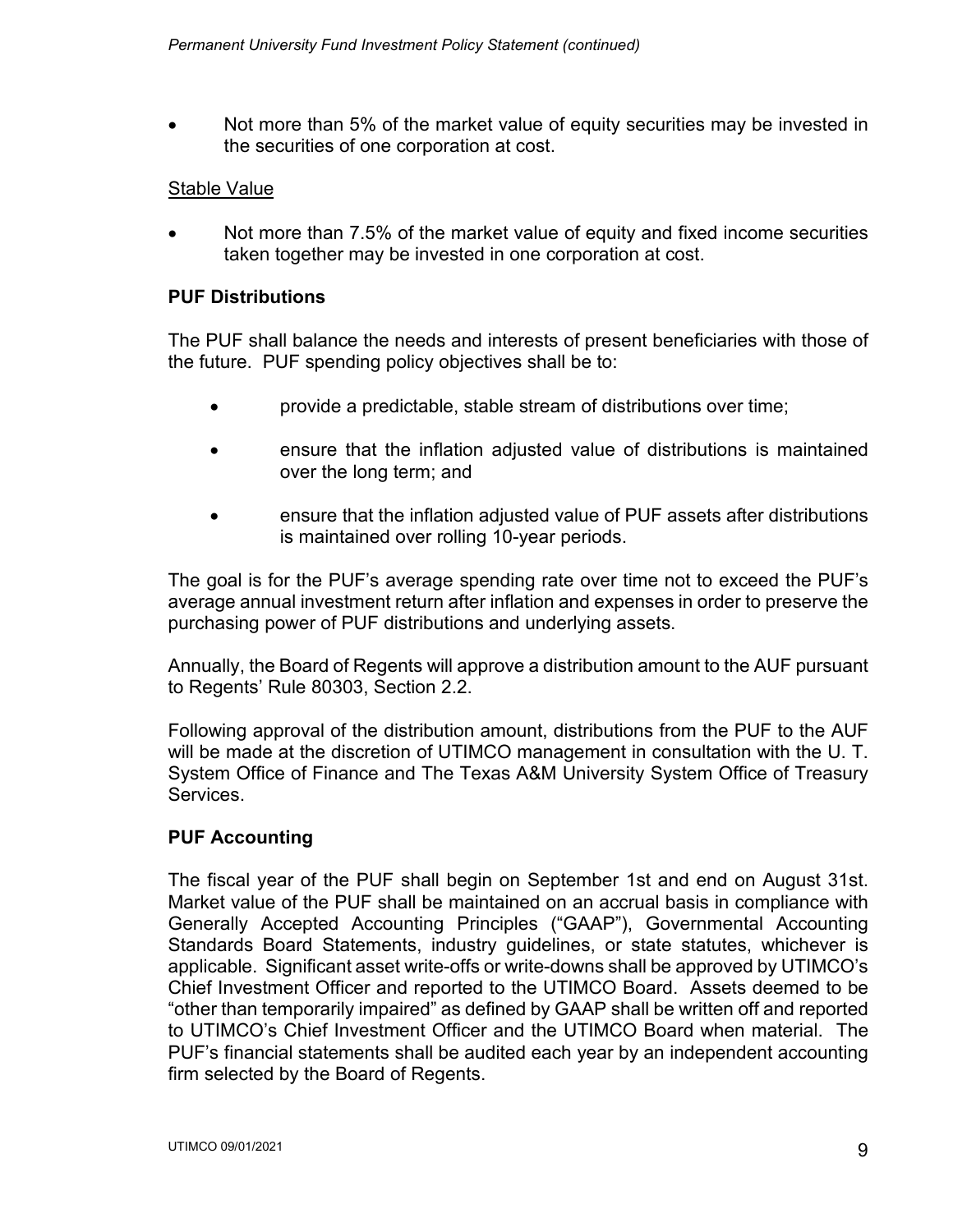• Not more than 5% of the market value of equity securities may be invested in the securities of one corporation at cost.

#### Stable Value

• Not more than 7.5% of the market value of equity and fixed income securities taken together may be invested in one corporation at cost.

#### **PUF Distributions**

The PUF shall balance the needs and interests of present beneficiaries with those of the future. PUF spending policy objectives shall be to:

- provide a predictable, stable stream of distributions over time;
- ensure that the inflation adjusted value of distributions is maintained over the long term; and
- ensure that the inflation adjusted value of PUF assets after distributions is maintained over rolling 10-year periods.

The goal is for the PUF's average spending rate over time not to exceed the PUF's average annual investment return after inflation and expenses in order to preserve the purchasing power of PUF distributions and underlying assets.

Annually, the Board of Regents will approve a distribution amount to the AUF pursuant to Regents' Rule 80303, Section 2.2.

Following approval of the distribution amount, distributions from the PUF to the AUF will be made at the discretion of UTIMCO management in consultation with the U. T. System Office of Finance and The Texas A&M University System Office of Treasury Services.

## **PUF Accounting**

The fiscal year of the PUF shall begin on September 1st and end on August 31st. Market value of the PUF shall be maintained on an accrual basis in compliance with Generally Accepted Accounting Principles ("GAAP"), Governmental Accounting Standards Board Statements, industry guidelines, or state statutes, whichever is applicable. Significant asset write-offs or write-downs shall be approved by UTIMCO's Chief Investment Officer and reported to the UTIMCO Board. Assets deemed to be "other than temporarily impaired" as defined by GAAP shall be written off and reported to UTIMCO's Chief Investment Officer and the UTIMCO Board when material. The PUF's financial statements shall be audited each year by an independent accounting firm selected by the Board of Regents.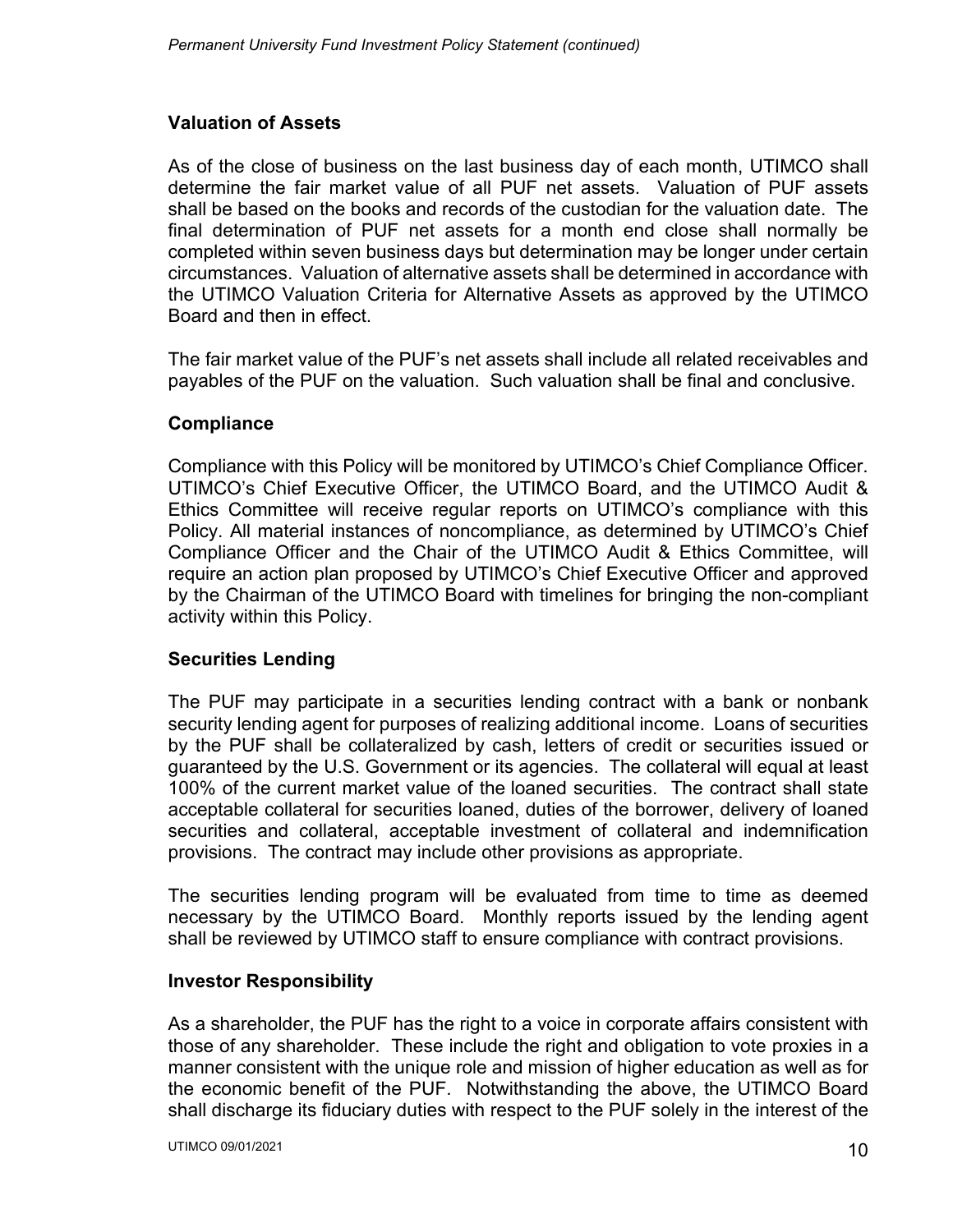# **Valuation of Assets**

As of the close of business on the last business day of each month, UTIMCO shall determine the fair market value of all PUF net assets. Valuation of PUF assets shall be based on the books and records of the custodian for the valuation date. The final determination of PUF net assets for a month end close shall normally be completed within seven business days but determination may be longer under certain circumstances. Valuation of alternative assets shall be determined in accordance with the UTIMCO Valuation Criteria for Alternative Assets as approved by the UTIMCO Board and then in effect.

The fair market value of the PUF's net assets shall include all related receivables and payables of the PUF on the valuation. Such valuation shall be final and conclusive.

## **Compliance**

Compliance with this Policy will be monitored by UTIMCO's Chief Compliance Officer. UTIMCO's Chief Executive Officer, the UTIMCO Board, and the UTIMCO Audit & Ethics Committee will receive regular reports on UTIMCO's compliance with this Policy. All material instances of noncompliance, as determined by UTIMCO's Chief Compliance Officer and the Chair of the UTIMCO Audit & Ethics Committee, will require an action plan proposed by UTIMCO's Chief Executive Officer and approved by the Chairman of the UTIMCO Board with timelines for bringing the non-compliant activity within this Policy.

## **Securities Lending**

The PUF may participate in a securities lending contract with a bank or nonbank security lending agent for purposes of realizing additional income. Loans of securities by the PUF shall be collateralized by cash, letters of credit or securities issued or guaranteed by the U.S. Government or its agencies. The collateral will equal at least 100% of the current market value of the loaned securities. The contract shall state acceptable collateral for securities loaned, duties of the borrower, delivery of loaned securities and collateral, acceptable investment of collateral and indemnification provisions. The contract may include other provisions as appropriate.

The securities lending program will be evaluated from time to time as deemed necessary by the UTIMCO Board. Monthly reports issued by the lending agent shall be reviewed by UTIMCO staff to ensure compliance with contract provisions.

#### **Investor Responsibility**

As a shareholder, the PUF has the right to a voice in corporate affairs consistent with those of any shareholder. These include the right and obligation to vote proxies in a manner consistent with the unique role and mission of higher education as well as for the economic benefit of the PUF. Notwithstanding the above, the UTIMCO Board shall discharge its fiduciary duties with respect to the PUF solely in the interest of the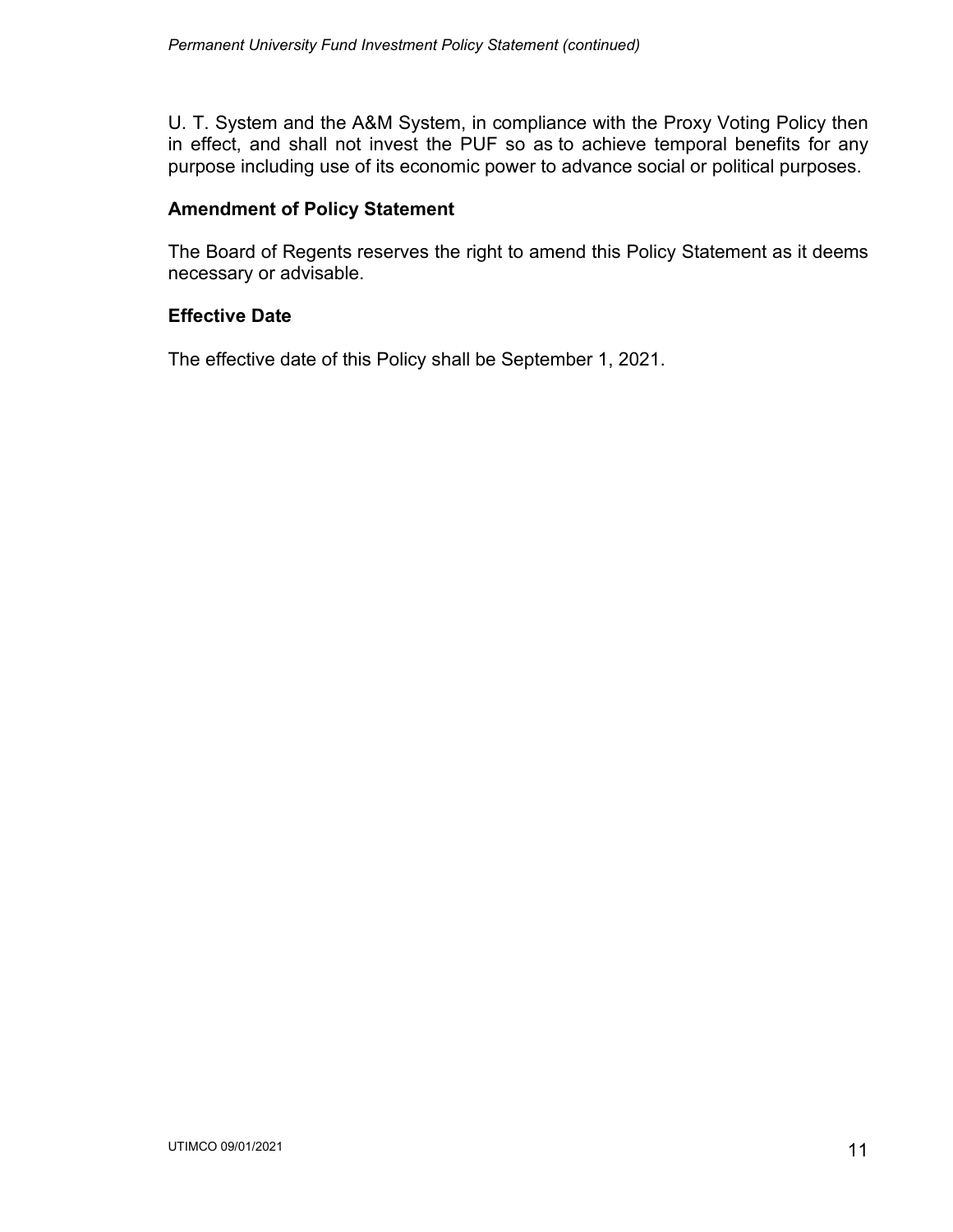U. T. System and the A&M System, in compliance with the Proxy Voting Policy then in effect, and shall not invest the PUF so as to achieve temporal benefits for any purpose including use of its economic power to advance social or political purposes.

#### **Amendment of Policy Statement**

The Board of Regents reserves the right to amend this Policy Statement as it deems necessary or advisable.

#### **Effective Date**

The effective date of this Policy shall be September 1, 2021.